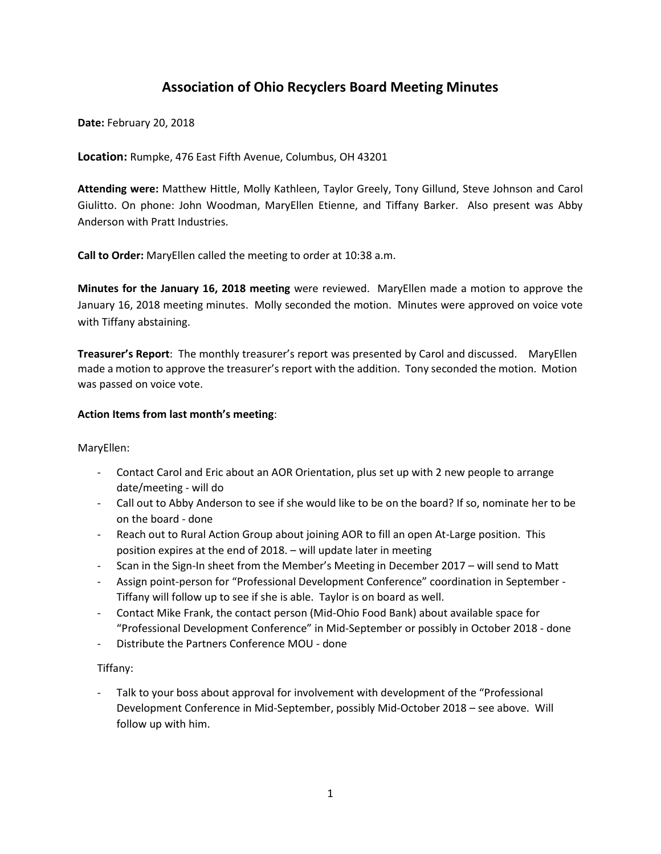# **Association of Ohio Recyclers Board Meeting Minutes**

**Date:** February 20, 2018

**Location:** Rumpke, 476 East Fifth Avenue, Columbus, OH 43201

**Attending were:** Matthew Hittle, Molly Kathleen, Taylor Greely, Tony Gillund, Steve Johnson and Carol Giulitto. On phone: John Woodman, MaryEllen Etienne, and Tiffany Barker. Also present was Abby Anderson with Pratt Industries.

**Call to Order:** MaryEllen called the meeting to order at 10:38 a.m.

**Minutes for the January 16, 2018 meeting** were reviewed. MaryEllen made a motion to approve the January 16, 2018 meeting minutes. Molly seconded the motion. Minutes were approved on voice vote with Tiffany abstaining.

**Treasurer's Report**: The monthly treasurer's report was presented by Carol and discussed. MaryEllen made a motion to approve the treasurer's report with the addition. Tony seconded the motion. Motion was passed on voice vote.

### **Action Items from last month's meeting**:

MaryEllen:

- Contact Carol and Eric about an AOR Orientation, plus set up with 2 new people to arrange date/meeting - will do
- Call out to Abby Anderson to see if she would like to be on the board? If so, nominate her to be on the board - done
- Reach out to Rural Action Group about joining AOR to fill an open At-Large position. This position expires at the end of 2018. – will update later in meeting
- Scan in the Sign-In sheet from the Member's Meeting in December 2017 will send to Matt
- Assign point-person for "Professional Development Conference" coordination in September Tiffany will follow up to see if she is able. Taylor is on board as well.
- Contact Mike Frank, the contact person (Mid-Ohio Food Bank) about available space for "Professional Development Conference" in Mid-September or possibly in October 2018 - done
- Distribute the Partners Conference MOU done

Tiffany:

Talk to your boss about approval for involvement with development of the "Professional Development Conference in Mid-September, possibly Mid-October 2018 – see above. Will follow up with him.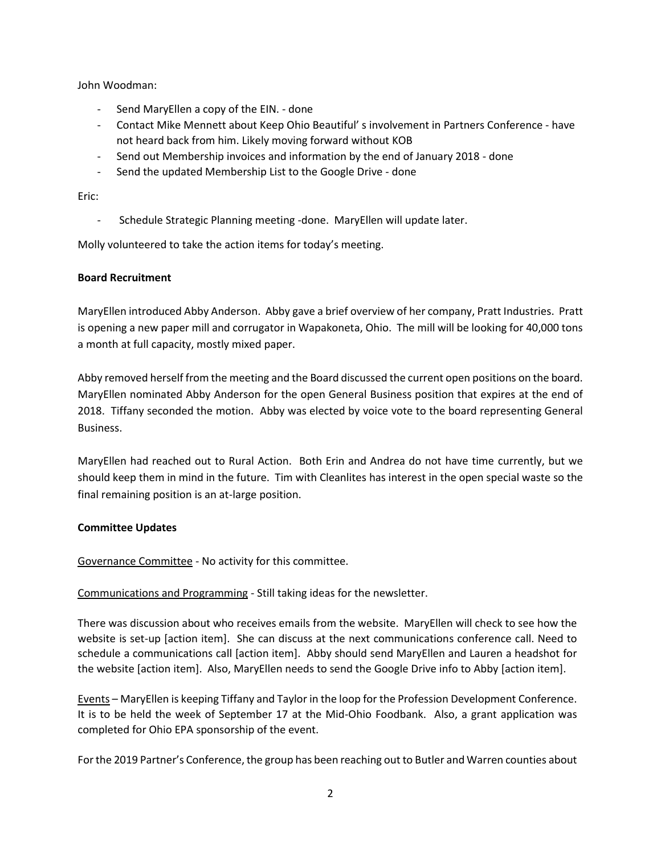John Woodman:

- Send MaryEllen a copy of the EIN. done
- Contact Mike Mennett about Keep Ohio Beautiful' s involvement in Partners Conference have not heard back from him. Likely moving forward without KOB
- Send out Membership invoices and information by the end of January 2018 done
- Send the updated Membership List to the Google Drive done

Eric:

Schedule Strategic Planning meeting -done. MaryEllen will update later.

Molly volunteered to take the action items for today's meeting.

## **Board Recruitment**

MaryEllen introduced Abby Anderson. Abby gave a brief overview of her company, Pratt Industries. Pratt is opening a new paper mill and corrugator in Wapakoneta, Ohio. The mill will be looking for 40,000 tons a month at full capacity, mostly mixed paper.

Abby removed herself from the meeting and the Board discussed the current open positions on the board. MaryEllen nominated Abby Anderson for the open General Business position that expires at the end of 2018. Tiffany seconded the motion. Abby was elected by voice vote to the board representing General Business.

MaryEllen had reached out to Rural Action. Both Erin and Andrea do not have time currently, but we should keep them in mind in the future. Tim with Cleanlites has interest in the open special waste so the final remaining position is an at-large position.

# **Committee Updates**

Governance Committee - No activity for this committee.

Communications and Programming - Still taking ideas for the newsletter.

There was discussion about who receives emails from the website. MaryEllen will check to see how the website is set-up [action item]. She can discuss at the next communications conference call. Need to schedule a communications call [action item]. Abby should send MaryEllen and Lauren a headshot for the website [action item]. Also, MaryEllen needs to send the Google Drive info to Abby [action item].

Events – MaryEllen is keeping Tiffany and Taylor in the loop for the Profession Development Conference. It is to be held the week of September 17 at the Mid-Ohio Foodbank. Also, a grant application was completed for Ohio EPA sponsorship of the event.

For the 2019 Partner's Conference, the group has been reaching out to Butler and Warren counties about